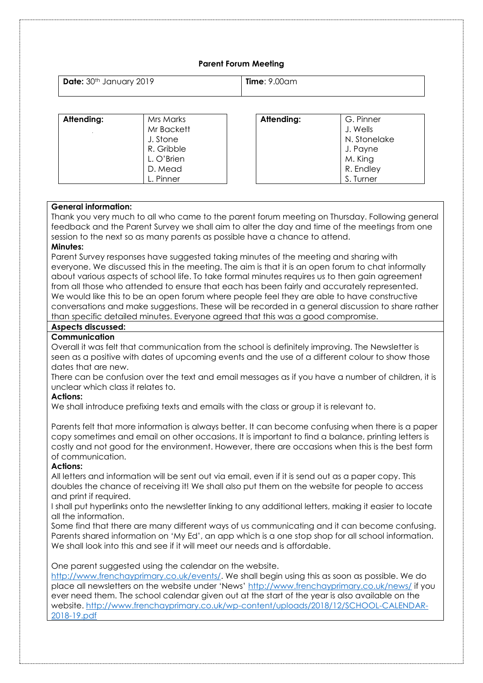## **Parent Forum Meeting**

| Date: 30th January 2019 | $Time: 9.00$ am |
|-------------------------|-----------------|
|                         |                 |

| Attending: | Mrs Marks  | Attending: | G. Pinner    |
|------------|------------|------------|--------------|
|            |            |            |              |
|            | Mr Backett |            | J. Wells     |
|            | J. Stone   |            | N. Stonelake |
|            | R. Gribble |            | J. Payne     |
|            | L. O'Brien |            | M. King      |
|            | D. Mead    |            | R. Endley    |
|            | L. Pinner  |            | S. Turner    |

#### **General information:**

Thank you very much to all who came to the parent forum meeting on Thursday. Following general feedback and the Parent Survey we shall aim to alter the day and time of the meetings from one session to the next so as many parents as possible have a chance to attend.

#### **Minutes:**

Parent Survey responses have suggested taking minutes of the meeting and sharing with everyone. We discussed this in the meeting. The aim is that it is an open forum to chat informally about various aspects of school life. To take formal minutes requires us to then gain agreement from all those who attended to ensure that each has been fairly and accurately represented. We would like this to be an open forum where people feel they are able to have constructive conversations and make suggestions. These will be recorded in a general discussion to share rather than specific detailed minutes. Everyone agreed that this was a good compromise.

# **Aspects discussed:**

# **Communication**

Overall it was felt that communication from the school is definitely improving. The Newsletter is seen as a positive with dates of upcoming events and the use of a different colour to show those dates that are new.

There can be confusion over the text and email messages as if you have a number of children, it is unclear which class it relates to.

#### **Actions:**

We shall introduce prefixing texts and emails with the class or group it is relevant to.

Parents felt that more information is always better. It can become confusing when there is a paper copy sometimes and email on other occasions. It is important to find a balance, printing letters is costly and not good for the environment. However, there are occasions when this is the best form of communication.

### **Actions:**

All letters and information will be sent out via email, even if it is send out as a paper copy. This doubles the chance of receiving it! We shall also put them on the website for people to access and print if required.

I shall put hyperlinks onto the newsletter linking to any additional letters, making it easier to locate all the information.

Some find that there are many different ways of us communicating and it can become confusing. Parents shared information on 'My Ed', an app which is a one stop shop for all school information. We shall look into this and see if it will meet our needs and is affordable.

One parent suggested using the calendar on the website.

[http://www.frenchayprimary.co.uk/events/.](http://www.frenchayprimary.co.uk/events/) We shall begin using this as soon as possible. We do place all newsletters on the website under 'News' <http://www.frenchayprimary.co.uk/news/> if you ever need them. The school calendar given out at the start of the year is also available on the website. [http://www.frenchayprimary.co.uk/wp-content/uploads/2018/12/SCHOOL-CALENDAR-](http://www.frenchayprimary.co.uk/wp-content/uploads/2018/12/SCHOOL-CALENDAR-2018-19.pdf)[2018-19.pdf](http://www.frenchayprimary.co.uk/wp-content/uploads/2018/12/SCHOOL-CALENDAR-2018-19.pdf)